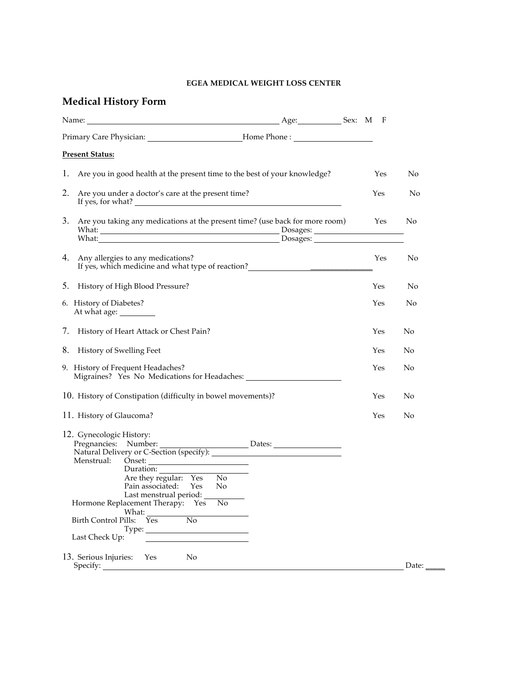## **EGEA MEDICAL WEIGHT LOSS CENTER**

## **Medical History Form**

| Name:                                                                                                                                                                                                                                                                                                                                                                                                        | Age: Sex: M F        |     |       |
|--------------------------------------------------------------------------------------------------------------------------------------------------------------------------------------------------------------------------------------------------------------------------------------------------------------------------------------------------------------------------------------------------------------|----------------------|-----|-------|
| Primary Care Physician: _______________________________Home Phone : _____________                                                                                                                                                                                                                                                                                                                            |                      |     |       |
| <b>Present Status:</b>                                                                                                                                                                                                                                                                                                                                                                                       |                      |     |       |
| Ι.<br>Are you in good health at the present time to the best of your knowledge?                                                                                                                                                                                                                                                                                                                              |                      | Yes | No    |
| 2.<br>Are you under a doctor's care at the present time?<br>If yes, for what?                                                                                                                                                                                                                                                                                                                                |                      | Yes | No    |
| 3. Are you taking any medications at the present time? (use back for more room)<br>What: What: What: What: What: What: 2007                                                                                                                                                                                                                                                                                  | Dosages:<br>Dosages: | Yes | No    |
| 4. Any allergies to any medications?                                                                                                                                                                                                                                                                                                                                                                         |                      | Yes | No    |
| History of High Blood Pressure?<br>5.                                                                                                                                                                                                                                                                                                                                                                        |                      | Yes | No    |
| 6. History of Diabetes?                                                                                                                                                                                                                                                                                                                                                                                      |                      | Yes | No    |
| 7. History of Heart Attack or Chest Pain?                                                                                                                                                                                                                                                                                                                                                                    |                      | Yes | No    |
| 8. History of Swelling Feet                                                                                                                                                                                                                                                                                                                                                                                  |                      | Yes | No    |
| 9. History of Frequent Headaches?<br>Migraines? Yes No Medications for Headaches: ___________________________________                                                                                                                                                                                                                                                                                        |                      | Yes | No    |
| 10. History of Constipation (difficulty in bowel movements)?                                                                                                                                                                                                                                                                                                                                                 |                      | Yes | No    |
| 11. History of Glaucoma?                                                                                                                                                                                                                                                                                                                                                                                     |                      | Yes | No    |
| 12. Gynecologic History:<br>Pregnancies: Number:<br>Natural Delivery or C-Section (specify):<br>Menstrual:<br>$\frac{S}{S}$<br>Duration: Duration:<br>Are they regular: Yes<br>N <sub>o</sub><br>Pain associated:<br>N <sub>o</sub><br>Yes<br>Last menstrual period:<br>Hormone Replacement Therapy: Yes<br>No<br>What:<br>N <sub>o</sub><br>$Y_{\rm es}$<br>Birth Control Pills:<br>Type:<br>Last Check Up: |                      |     |       |
| 13. Serious Injuries:<br>No<br>Yes<br>Specify:                                                                                                                                                                                                                                                                                                                                                               |                      |     | Date: |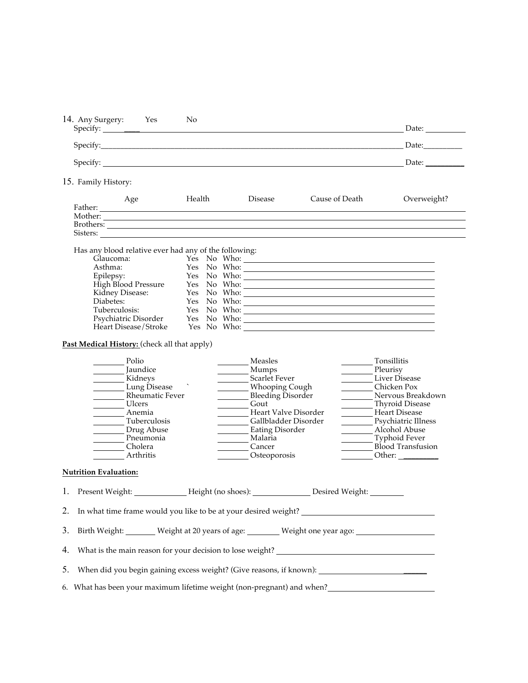|                                                                                                                        |                    |                                                                                                                                                                                                                                     | Date:                                                                                                                                                       |
|------------------------------------------------------------------------------------------------------------------------|--------------------|-------------------------------------------------------------------------------------------------------------------------------------------------------------------------------------------------------------------------------------|-------------------------------------------------------------------------------------------------------------------------------------------------------------|
|                                                                                                                        |                    |                                                                                                                                                                                                                                     | Date:                                                                                                                                                       |
|                                                                                                                        |                    |                                                                                                                                                                                                                                     | Date:                                                                                                                                                       |
| 15. Family History:                                                                                                    |                    |                                                                                                                                                                                                                                     |                                                                                                                                                             |
| Age                                                                                                                    | Health             | Cause of Death<br>Disease                                                                                                                                                                                                           | Overweight?                                                                                                                                                 |
|                                                                                                                        |                    |                                                                                                                                                                                                                                     |                                                                                                                                                             |
|                                                                                                                        |                    |                                                                                                                                                                                                                                     |                                                                                                                                                             |
|                                                                                                                        |                    | Brothers: <u>Andrea Brothers:</u> Andrea Brothers: Andrea Brothers: Andrea Brothers: Andrea Brothers: Andrea Brothers: Andrea Brothers: Andrea Brothers: Andrea Brothers: Andrea Brothers: Andrea Brothers: Andrea Brothers: Andrea |                                                                                                                                                             |
| Sisters:                                                                                                               |                    |                                                                                                                                                                                                                                     |                                                                                                                                                             |
| Has any blood relative ever had any of the following:                                                                  |                    |                                                                                                                                                                                                                                     |                                                                                                                                                             |
|                                                                                                                        |                    |                                                                                                                                                                                                                                     |                                                                                                                                                             |
| Glaucoma:<br>Asthma<br>Asthma:                                                                                         |                    |                                                                                                                                                                                                                                     |                                                                                                                                                             |
|                                                                                                                        |                    | Yes No Who: No Who: No Who: No Who: No Who: No Who: No Who: No Who: No Who: No Who: No Who: No Who: No Who: No Who: No Who: No Who: No Who: No Who: No Who: No Who: No Who: No Who: No Who: No Who: No Who: No Who: No Who: No      |                                                                                                                                                             |
|                                                                                                                        |                    | Yes No Who: No Who: No Who: No Who: No Who: No Who: No Who: No Who: No Who: No Who: No Who: No Who: No Who: No Who: No Who: No Who: No Who: No Who: No Who: No Who: No Who: No Who: No Who: No Who: No Who: No Who: No Who: No      |                                                                                                                                                             |
|                                                                                                                        |                    |                                                                                                                                                                                                                                     |                                                                                                                                                             |
| Asthma:<br>Epilepsy:<br>High Blood Pressure<br>Kidney Disease:<br>Diabetes:                                            |                    |                                                                                                                                                                                                                                     |                                                                                                                                                             |
|                                                                                                                        |                    |                                                                                                                                                                                                                                     |                                                                                                                                                             |
|                                                                                                                        |                    |                                                                                                                                                                                                                                     |                                                                                                                                                             |
|                                                                                                                        |                    |                                                                                                                                                                                                                                     |                                                                                                                                                             |
| Jaundice<br>Kidneys                                                                                                    |                    | Mumps<br>Scarlet Fever                                                                                                                                                                                                              | Liver Disease<br>Chicken Pox                                                                                                                                |
| Lung Disease<br>Rheumatic Fever<br>Ulcers<br>Anemia<br>Tuberculosis<br>Drug Abuse<br>Pneumonia<br>Cholera<br>Arthritis |                    | Whooping Cough<br>Gout<br>Heart Valve Disorder<br>Gallbladder Disorder<br>Eating Disorder<br>Malaria<br>Cancer<br>Osteoporosis                                                                                                      | Nervous Breakdown<br><b>Thyroid Disease</b><br>Heart Disease<br>Psychiatric Illness<br>Alcohol Abuse<br><b>Typhoid Fever</b><br>Blood Transfusion<br>Other: |
|                                                                                                                        |                    |                                                                                                                                                                                                                                     |                                                                                                                                                             |
| <b>Nutrition Evaluation:</b><br>1. Present Weight:                                                                     | Height (no shoes): | Desired Weight:                                                                                                                                                                                                                     |                                                                                                                                                             |
| 2.                                                                                                                     |                    |                                                                                                                                                                                                                                     |                                                                                                                                                             |
| 3.                                                                                                                     |                    |                                                                                                                                                                                                                                     |                                                                                                                                                             |
|                                                                                                                        |                    | Birth Weight: _______ Weight at 20 years of age: _______ Weight one year ago: _____________________                                                                                                                                 |                                                                                                                                                             |
| 4.<br>5.                                                                                                               |                    |                                                                                                                                                                                                                                     |                                                                                                                                                             |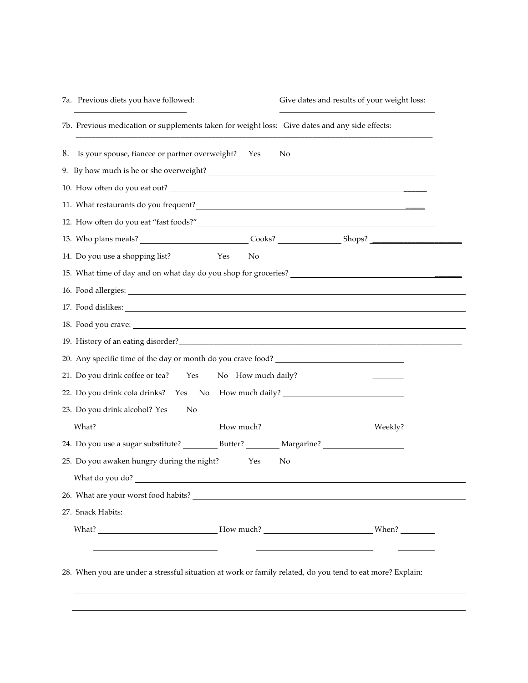| 7a. Previous diets you have followed:                                                                      | Give dates and results of your weight loss: |
|------------------------------------------------------------------------------------------------------------|---------------------------------------------|
| 7b. Previous medication or supplements taken for weight loss: Give dates and any side effects:             |                                             |
| 8. Is your spouse, fiancee or partner overweight? Yes                                                      | No                                          |
|                                                                                                            |                                             |
| 10. How often do you eat out?                                                                              |                                             |
| 11. What restaurants do you frequent?                                                                      |                                             |
|                                                                                                            |                                             |
|                                                                                                            |                                             |
| Yes<br>14. Do you use a shopping list?<br>N <sub>o</sub>                                                   |                                             |
| 15. What time of day and on what day do you shop for groceries?                                            |                                             |
|                                                                                                            |                                             |
|                                                                                                            |                                             |
| 18. Food you crave:                                                                                        |                                             |
|                                                                                                            |                                             |
| 20. Any specific time of the day or month do you crave food? ____________________                          |                                             |
| 21. Do you drink coffee or tea? Yes                                                                        | No How much daily?                          |
| 22. Do you drink cola drinks? Yes No How much daily? ___________________________                           |                                             |
| 23. Do you drink alcohol? Yes<br>No                                                                        |                                             |
| What? _______________________________How much? __________________________________Weekly? _________________ |                                             |
|                                                                                                            |                                             |
| 25. Do you awaken hungry during the night?<br>Yes                                                          | No                                          |
| What do you do?                                                                                            |                                             |
|                                                                                                            |                                             |
| 27. Snack Habits:                                                                                          |                                             |
|                                                                                                            |                                             |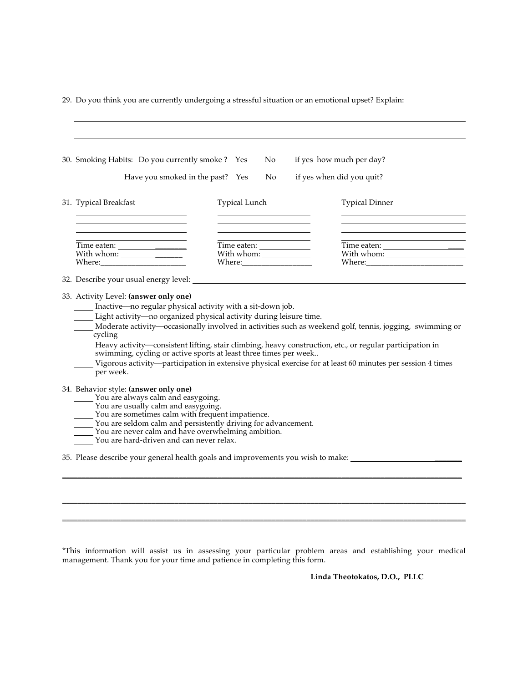29. Do you think you are currently undergoing a stressful situation or an emotional upset? Explain:

|                                                               | 30. Smoking Habits: Do you currently smoke? Yes<br>Have you smoked in the past? Yes                                                                                                                                                                                    | No.<br>No.                                                                                                                                                                                              | if yes how much per day?<br>if yes when did you quit?                                                                                                                                                                                                                                                                              |
|---------------------------------------------------------------|------------------------------------------------------------------------------------------------------------------------------------------------------------------------------------------------------------------------------------------------------------------------|---------------------------------------------------------------------------------------------------------------------------------------------------------------------------------------------------------|------------------------------------------------------------------------------------------------------------------------------------------------------------------------------------------------------------------------------------------------------------------------------------------------------------------------------------|
| 31. Typical Breakfast                                         |                                                                                                                                                                                                                                                                        | <b>Typical Lunch</b>                                                                                                                                                                                    | <b>Typical Dinner</b>                                                                                                                                                                                                                                                                                                              |
| With whom: $\frac{\phantom{1}}{2\phantom{1}}$                 |                                                                                                                                                                                                                                                                        | With whom: $\_\_$                                                                                                                                                                                       |                                                                                                                                                                                                                                                                                                                                    |
|                                                               |                                                                                                                                                                                                                                                                        |                                                                                                                                                                                                         |                                                                                                                                                                                                                                                                                                                                    |
|                                                               |                                                                                                                                                                                                                                                                        |                                                                                                                                                                                                         |                                                                                                                                                                                                                                                                                                                                    |
| 33. Activity Level: (answer only one)<br>cycling<br>per week. |                                                                                                                                                                                                                                                                        | __ Inactive—no regular physical activity with a sit-down job.<br>Light activity—no organized physical activity during leisure time.<br>swimming, cycling or active sports at least three times per week | Moderate activity—occasionally involved in activities such as weekend golf, tennis, jogging, swimming or<br>Heavy activity—consistent lifting, stair climbing, heavy construction, etc., or regular participation in<br>Vigorous activity-participation in extensive physical exercise for at least 60 minutes per session 4 times |
| 34. Behavior style: (answer only one)                         | You are always calm and easygoing.<br>$\frac{1}{2}$ You are usually calm and easygoing.<br>$\overline{\phantom{a}}$ You are sometimes calm with frequent impatience.<br>You are never calm and have overwhelming ambition.<br>You are hard-driven and can never relax. | ____ You are seldom calm and persistently driving for advancement.                                                                                                                                      |                                                                                                                                                                                                                                                                                                                                    |

\*This information will assist us in assessing your particular problem areas and establishing your medical management. Thank you for your time and patience in completing this form.

\_\_\_\_\_\_\_\_\_\_\_\_\_\_\_\_\_\_\_\_\_\_\_\_\_\_\_\_\_\_\_\_\_\_\_\_\_\_\_\_\_\_\_\_\_\_\_\_\_\_\_\_\_\_\_\_\_\_\_\_\_\_\_\_\_\_\_\_\_\_\_\_\_\_\_\_\_\_\_\_\_\_\_\_\_\_\_\_\_\_\_\_\_\_\_\_\_\_\_\_\_\_\_\_ \_\_\_\_\_\_\_\_\_\_\_\_\_\_\_\_\_\_\_\_\_\_\_\_\_\_\_\_\_\_\_\_\_\_\_\_\_\_\_\_\_\_\_\_\_\_\_\_\_\_\_\_\_\_\_\_\_\_\_\_\_\_\_\_\_\_\_\_\_\_\_\_\_\_\_\_\_\_\_\_\_\_\_\_\_\_\_\_\_\_\_\_\_\_\_\_\_\_\_\_\_\_\_\_

**Linda Theotokatos, D.O., PLLC**